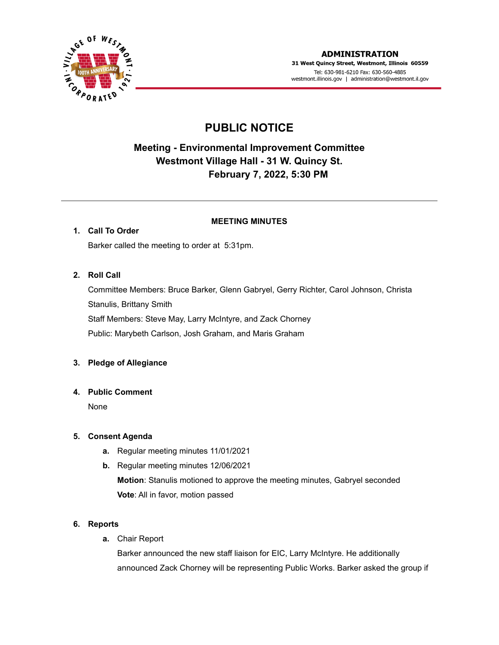

# **PUBLIC NOTICE**

## **Meeting - Environmental Improvement Committee Westmont Village Hall - 31 W. Quincy St. February 7, 2022, 5:30 PM**

#### **MEETING MINUTES**

## **1. Call To Order**

Barker called the meeting to order at 5:31pm.

### **2. Roll Call**

Committee Members: Bruce Barker, Glenn Gabryel, Gerry Richter, Carol Johnson, Christa Stanulis, Brittany Smith Staff Members: Steve May, Larry McIntyre, and Zack Chorney Public: Marybeth Carlson, Josh Graham, and Maris Graham

### **3. Pledge of Allegiance**

### **4. Public Comment**

None

### **5. Consent Agenda**

- **a.** Regular meeting minutes 11/01/2021
- **b.** Regular meeting minutes 12/06/2021 **Motion**: Stanulis motioned to approve the meeting minutes, Gabryel seconded **Vote**: All in favor, motion passed

### **6. Reports**

**a.** Chair Report

Barker announced the new staff liaison for EIC, Larry McIntyre. He additionally announced Zack Chorney will be representing Public Works. Barker asked the group if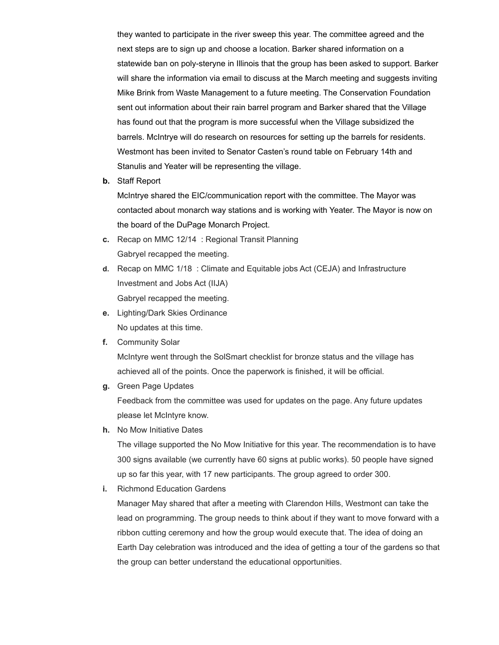they wanted to participate in the river sweep this year. The committee agreed and the next steps are to sign up and choose a location. Barker shared information on a statewide ban on poly-steryne in Illinois that the group has been asked to support. Barker will share the information via email to discuss at the March meeting and suggests inviting Mike Brink from Waste Management to a future meeting. The Conservation Foundation sent out information about their rain barrel program and Barker shared that the Village has found out that the program is more successful when the Village subsidized the barrels. McIntrye will do research on resources for setting up the barrels for residents. Westmont has been invited to Senator Casten's round table on February 14th and Stanulis and Yeater will be representing the village.

**b.** Staff Report

McIntrye shared the EIC/communication report with the committee. The Mayor was contacted about monarch way stations and is working with Yeater. The Mayor is now on the board of the DuPage Monarch Project.

- **c.** Recap on MMC 12/14 : Regional Transit Planning Gabryel recapped the meeting.
- **d.** Recap on MMC 1/18 : Climate and Equitable jobs Act (CEJA) and Infrastructure Investment and Jobs Act (IIJA) Gabryel recapped the meeting.
- **e.** Lighting/Dark Skies Ordinance No updates at this time.
- **f.** Community Solar

McIntyre went through the SolSmart checklist for bronze status and the village has achieved all of the points. Once the paperwork is finished, it will be official.

**g.** Green Page Updates

Feedback from the committee was used for updates on the page. Any future updates please let McIntyre know.

**h.** No Mow Initiative Dates

The village supported the No Mow Initiative for this year. The recommendation is to have 300 signs available (we currently have 60 signs at public works). 50 people have signed up so far this year, with 17 new participants. The group agreed to order 300.

**i.** Richmond Education Gardens

Manager May shared that after a meeting with Clarendon Hills, Westmont can take the lead on programming. The group needs to think about if they want to move forward with a ribbon cutting ceremony and how the group would execute that. The idea of doing an Earth Day celebration was introduced and the idea of getting a tour of the gardens so that the group can better understand the educational opportunities.